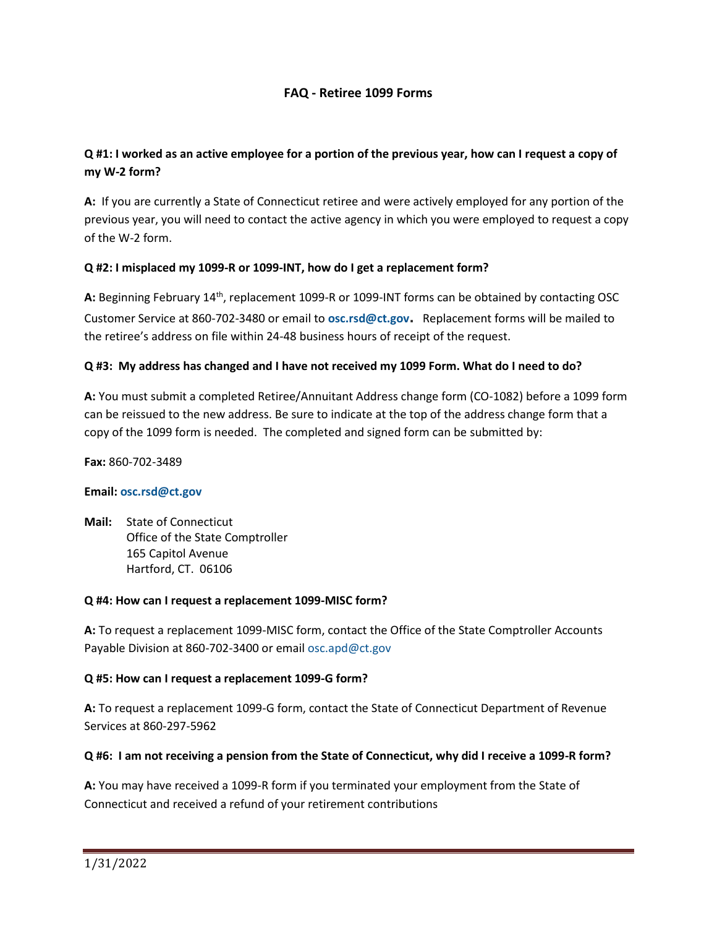### **FAQ - Retiree 1099 Forms**

### **Q #1: I worked as an active employee for a portion of the previous year, how can I request a copy of my W-2 form?**

**A:** If you are currently a State of Connecticut retiree and were actively employed for any portion of the previous year, you will need to contact the active agency in which you were employed to request a copy of the W-2 form.

#### **Q #2: I misplaced my 1099-R or 1099-INT, how do I get a replacement form?**

A: Beginning February 14<sup>th</sup>, replacement 1099-R or 1099-INT forms can be obtained by contacting OSC Customer Service at 860-702-3480 or email to **[osc.rsd@ct.gov](mailto:osc.rsd@ct.gov).** Replacement forms will be mailed to the retiree's address on file within 24-48 business hours of receipt of the request.

#### **Q #3: My address has changed and I have not received my 1099 Form. What do I need to do?**

**A:** You must submit a completed Retiree/Annuitant Address change form (CO-1082) before a 1099 form can be reissued to the new address. Be sure to indicate at the top of the address change form that a copy of the 1099 form is needed. The completed and signed form can be submitted by:

**Fax:** 860-702-3489

#### **Email: [osc.rsd@ct.gov](mailto:osc.rsd@ct.gov)**

**Mail:** State of Connecticut Office of the State Comptroller 165 Capitol Avenue Hartford, CT. 06106

#### **Q #4: How can I request a replacement 1099-MISC form?**

**A:** To request a replacement 1099-MISC form, contact the Office of the State Comptroller Accounts Payable Division at 860-702-3400 or email [osc.apd@ct.gov](mailto:osc.apd@ct.gov)

#### **Q #5: How can I request a replacement 1099-G form?**

**A:** To request a replacement 1099-G form, contact the State of Connecticut Department of Revenue Services at 860-297-5962

#### **Q #6: I am not receiving a pension from the State of Connecticut, why did I receive a 1099-R form?**

**A:** You may have received a 1099-R form if you terminated your employment from the State of Connecticut and received a refund of your retirement contributions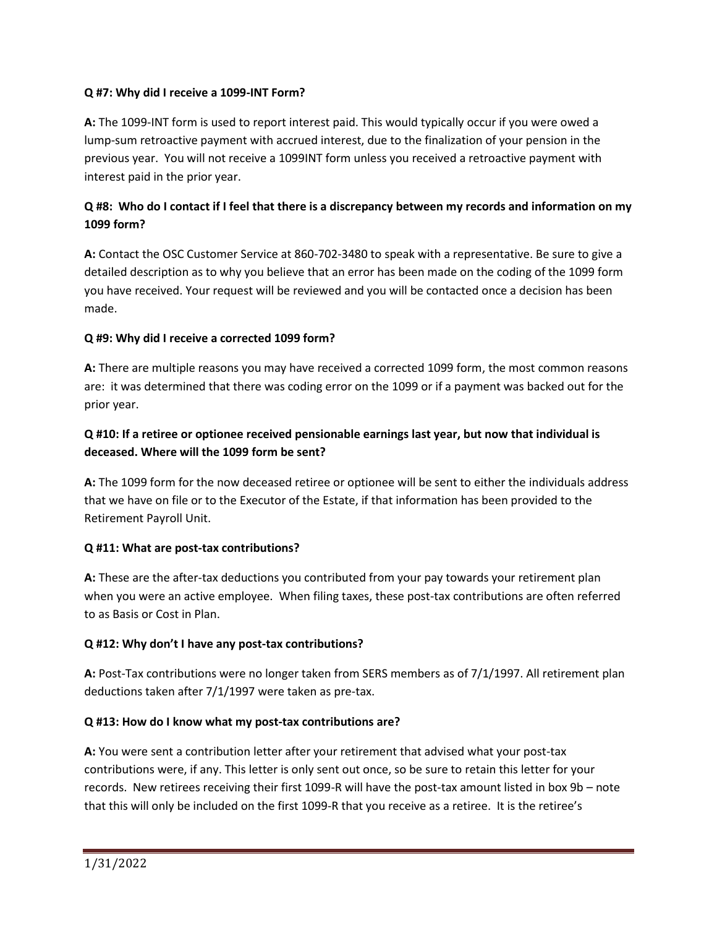### **Q #7: Why did I receive a 1099-INT Form?**

**A:** The 1099-INT form is used to report interest paid. This would typically occur if you were owed a lump-sum retroactive payment with accrued interest, due to the finalization of your pension in the previous year. You will not receive a 1099INT form unless you received a retroactive payment with interest paid in the prior year.

## **Q #8: Who do I contact if I feel that there is a discrepancy between my records and information on my 1099 form?**

**A:** Contact the OSC Customer Service at 860-702-3480 to speak with a representative. Be sure to give a detailed description as to why you believe that an error has been made on the coding of the 1099 form you have received. Your request will be reviewed and you will be contacted once a decision has been made.

### **Q #9: Why did I receive a corrected 1099 form?**

**A:** There are multiple reasons you may have received a corrected 1099 form, the most common reasons are: it was determined that there was coding error on the 1099 or if a payment was backed out for the prior year.

## **Q #10: If a retiree or optionee received pensionable earnings last year, but now that individual is deceased. Where will the 1099 form be sent?**

**A:** The 1099 form for the now deceased retiree or optionee will be sent to either the individuals address that we have on file or to the Executor of the Estate, if that information has been provided to the Retirement Payroll Unit.

### **Q #11: What are post-tax contributions?**

**A:** These are the after-tax deductions you contributed from your pay towards your retirement plan when you were an active employee. When filing taxes, these post-tax contributions are often referred to as Basis or Cost in Plan.

### **Q #12: Why don't I have any post-tax contributions?**

**A:** Post-Tax contributions were no longer taken from SERS members as of 7/1/1997. All retirement plan deductions taken after 7/1/1997 were taken as pre-tax.

#### **Q #13: How do I know what my post-tax contributions are?**

**A:** You were sent a contribution letter after your retirement that advised what your post-tax contributions were, if any. This letter is only sent out once, so be sure to retain this letter for your records. New retirees receiving their first 1099-R will have the post-tax amount listed in box 9b – note that this will only be included on the first 1099-R that you receive as a retiree. It is the retiree's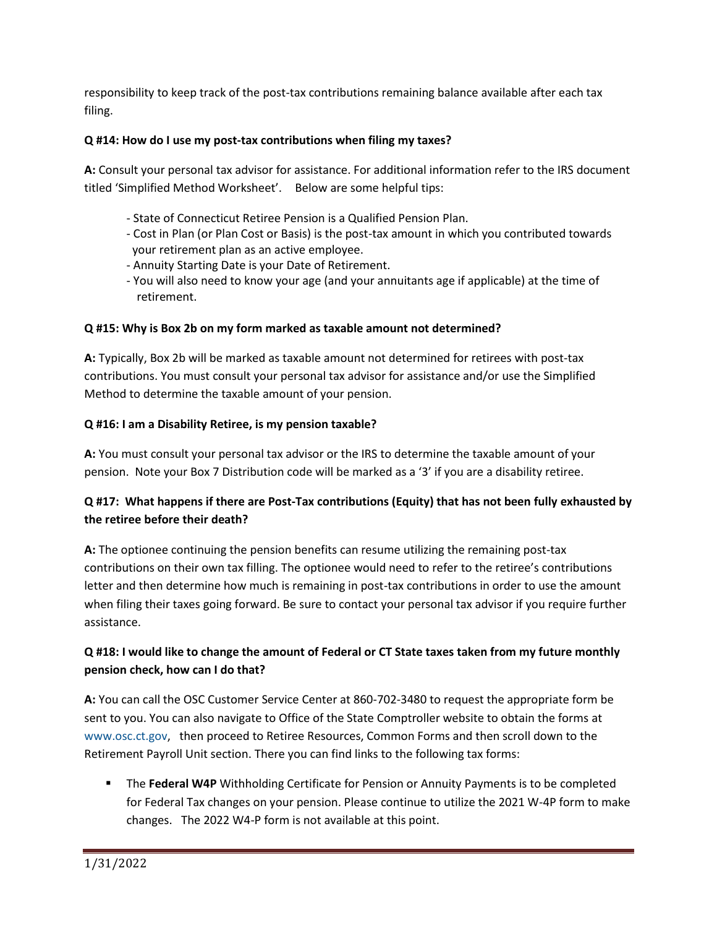responsibility to keep track of the post-tax contributions remaining balance available after each tax filing.

### **Q #14: How do I use my post-tax contributions when filing my taxes?**

**A:** Consult your personal tax advisor for assistance. For additional information refer to the IRS document titled 'Simplified Method Worksheet'. Below are some helpful tips:

- State of Connecticut Retiree Pension is a Qualified Pension Plan.
- Cost in Plan (or Plan Cost or Basis) is the post-tax amount in which you contributed towards your retirement plan as an active employee.
- Annuity Starting Date is your Date of Retirement.
- You will also need to know your age (and your annuitants age if applicable) at the time of retirement.

# **Q #15: Why is Box 2b on my form marked as taxable amount not determined?**

**A:** Typically, Box 2b will be marked as taxable amount not determined for retirees with post-tax contributions. You must consult your personal tax advisor for assistance and/or use the Simplified Method to determine the taxable amount of your pension.

### **Q #16: I am a Disability Retiree, is my pension taxable?**

**A:** You must consult your personal tax advisor or the IRS to determine the taxable amount of your pension. Note your Box 7 Distribution code will be marked as a '3' if you are a disability retiree.

# **Q #17: What happens if there are Post-Tax contributions (Equity) that has not been fully exhausted by the retiree before their death?**

**A:** The optionee continuing the pension benefits can resume utilizing the remaining post-tax contributions on their own tax filling. The optionee would need to refer to the retiree's contributions letter and then determine how much is remaining in post-tax contributions in order to use the amount when filing their taxes going forward. Be sure to contact your personal tax advisor if you require further assistance.

# **Q #18: I would like to change the amount of Federal or CT State taxes taken from my future monthly pension check, how can I do that?**

**A:** You can call the OSC Customer Service Center at 860-702-3480 to request the appropriate form be sent to you. You can also navigate to Office of the State Comptroller website to obtain the forms at [www.osc.ct.gov,](http://www.osc.ct.gov/) then proceed to Retiree Resources, Common Forms and then scroll down to the Retirement Payroll Unit section. There you can find links to the following tax forms:

■ The Federal W4P Withholding Certificate for Pension or Annuity Payments is to be completed for Federal Tax changes on your pension. Please continue to utilize the 2021 W-4P form to make changes. The 2022 W4-P form is not available at this point.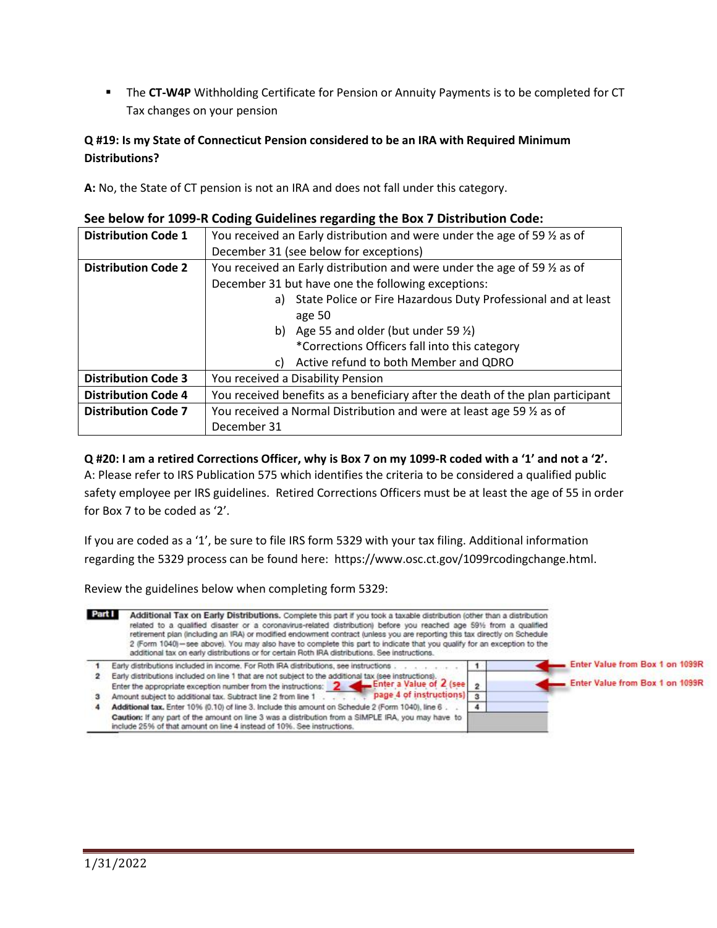**EXTER 15 The CT-W4P** Withholding Certificate for Pension or Annuity Payments is to be completed for CT Tax changes on your pension

### **Q #19: Is my State of Connecticut Pension considered to be an IRA with Required Minimum Distributions?**

**A:** No, the State of CT pension is not an IRA and does not fall under this category.

| <b>Distribution Code 1</b> | You received an Early distribution and were under the age of 59 $\frac{1}{2}$ as of |
|----------------------------|-------------------------------------------------------------------------------------|
|                            | December 31 (see below for exceptions)                                              |
| <b>Distribution Code 2</b> | You received an Early distribution and were under the age of 59 $\frac{1}{2}$ as of |
|                            | December 31 but have one the following exceptions:                                  |
|                            | a) State Police or Fire Hazardous Duty Professional and at least                    |
|                            | age 50                                                                              |
|                            | b) Age 55 and older (but under 59 $\frac{1}{2}$ )                                   |
|                            | *Corrections Officers fall into this category                                       |
|                            | Active refund to both Member and QDRO<br>C)                                         |
| <b>Distribution Code 3</b> | You received a Disability Pension                                                   |
| <b>Distribution Code 4</b> | You received benefits as a beneficiary after the death of the plan participant      |
| <b>Distribution Code 7</b> | You received a Normal Distribution and were at least age 59 1/2 as of               |
|                            | December 31                                                                         |

#### **See below for 1099-R Coding Guidelines regarding the Box 7 Distribution Code:**

#### **Q #20: I am a retired Corrections Officer, why is Box 7 on my 1099-R coded with a '1' and not a '2'.**

A: Please refer to IRS Publication 575 which identifies the criteria to be considered a qualified public safety employee per IRS guidelines. Retired Corrections Officers must be at least the age of 55 in order for Box 7 to be coded as '2'.

If you are coded as a '1', be sure to file IRS form 5329 with your tax filing. Additional information regarding the 5329 process can be found here: [https://www.osc.ct.gov/1099rcodingchange.html.](https://www.osc.ct.gov/1099rcodingchange.html)

Review the guidelines below when completing form 5329: